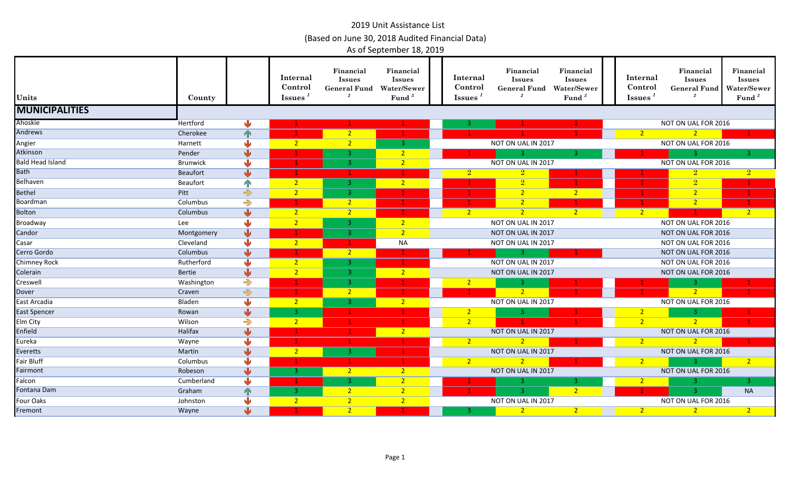| Units                   | County     |                         | Internal<br>Control<br><b>Issues</b> | Financial<br><b>Issues</b><br><b>General Fund</b><br>$\boldsymbol{2}$ | Financial<br><b>Issues</b><br><b>Water/Sewer</b><br>Fund <sup>3</sup> | Internal<br>Control<br>Issues $^1$ | Financial<br><b>Issues</b><br><b>General Fund</b><br>$\boldsymbol{2}$ | Financial<br><b>Issues</b><br>Water/Sewer<br>Fund <sup>3</sup> | Internal<br>Control<br>Issues $1$ | Financial<br><b>Issues</b><br><b>General Fund</b> | Financial<br><b>Issues</b><br>Water/Sewer<br>Fund <sup>3</sup> |
|-------------------------|------------|-------------------------|--------------------------------------|-----------------------------------------------------------------------|-----------------------------------------------------------------------|------------------------------------|-----------------------------------------------------------------------|----------------------------------------------------------------|-----------------------------------|---------------------------------------------------|----------------------------------------------------------------|
| <b>MUNICIPALITIES</b>   |            |                         |                                      |                                                                       |                                                                       |                                    |                                                                       |                                                                |                                   |                                                   |                                                                |
| Ahoskie                 | Hertford   | Ŵ                       |                                      |                                                                       |                                                                       | з                                  |                                                                       |                                                                |                                   | NOT ON UAL FOR 2016                               |                                                                |
| <b>Andrews</b>          | Cherokee   | $\Upsilon$              |                                      | 2 <sup>1</sup>                                                        |                                                                       |                                    |                                                                       |                                                                | $\overline{2}$                    | 2 <sup>1</sup>                                    |                                                                |
| Angier                  | Harnett    | J                       | 2 <sup>1</sup>                       | $\overline{2}$                                                        | $\mathbf{3}$                                                          |                                    | NOT ON UAL IN 2017                                                    |                                                                |                                   | NOT ON UAL FOR 2016                               |                                                                |
| Atkinson                | Pender     | 业                       |                                      |                                                                       | $\overline{2}$                                                        |                                    | 3.                                                                    | з.                                                             |                                   | -3.                                               | з.                                                             |
| <b>Bald Head Island</b> | Brunwick   | ⋓                       |                                      |                                                                       | 2 <sup>2</sup>                                                        |                                    | NOT ON UAL IN 2017                                                    |                                                                |                                   | NOT ON UAL FOR 2016                               |                                                                |
| <b>Bath</b>             | Beaufort   | $\overline{\mathbf{V}}$ |                                      |                                                                       |                                                                       | $\overline{2}$                     | $\overline{2}$                                                        |                                                                |                                   | $\boxed{2}$                                       | $\boxed{2}$                                                    |
| Belhaven                | Beaufort   | $\mathbb{R}$            | 2 <sup>2</sup>                       | з.                                                                    | 2 <sup>2</sup>                                                        |                                    | $\overline{2}$                                                        |                                                                |                                   | $\overline{2}$                                    |                                                                |
| <b>Bethel</b>           | Pitt       | $\Rightarrow$           | 2 <sup>2</sup>                       | з.                                                                    | $\mathbf{1}$                                                          |                                    | $\overline{2}$                                                        | 2 <sup>2</sup>                                                 |                                   | $\overline{2}$                                    |                                                                |
| Boardman                | Columbus   | $\Rightarrow$           |                                      | 2 <sup>2</sup>                                                        |                                                                       |                                    |                                                                       |                                                                |                                   | 2 <sup>1</sup>                                    |                                                                |
| Bolton                  | Columbus   | $\overline{\mathbf{v}}$ | $\overline{2}$                       | 2 <sub>1</sub>                                                        |                                                                       | $\overline{2}$                     | 2 <sup>7</sup>                                                        | 2 <sup>7</sup>                                                 | $\overline{2}$                    |                                                   | $\sqrt{2}$                                                     |
| Broadway                | Lee        | $\overline{\mathbf{u}}$ | $\overline{2}$                       |                                                                       | $\overline{2}$                                                        |                                    | NOT ON UAL IN 2017                                                    |                                                                |                                   | NOT ON UAL FOR 2016                               |                                                                |
| Candor                  | Montgomery | $\overline{\mathbf{v}}$ |                                      |                                                                       | $\overline{2}$                                                        |                                    | NOT ON UAL IN 2017                                                    |                                                                |                                   | NOT ON UAL FOR 2016                               |                                                                |
| Casar                   | Cleveland  | J                       | 2 <sup>2</sup>                       |                                                                       | <b>NA</b>                                                             |                                    | NOT ON UAL IN 2017                                                    |                                                                |                                   | NOT ON UAL FOR 2016                               |                                                                |
| Cerro Gordo             | Columbus   | $\sqrt{2}$              |                                      | $2 -$                                                                 |                                                                       |                                    | $-3$                                                                  |                                                                |                                   | NOT ON UAL FOR 2016                               |                                                                |
| <b>Chimney Rock</b>     | Rutherford | J                       | 2 <sup>7</sup>                       | -3.                                                                   |                                                                       |                                    | NOT ON UAL IN 2017                                                    |                                                                |                                   | NOT ON UAL FOR 2016                               |                                                                |
| Colerain                | Bertie     | 业                       | $\overline{2}$                       | $\mathbf{3}$                                                          | 2 <sup>2</sup>                                                        |                                    | NOT ON UAL IN 2017                                                    |                                                                |                                   | NOT ON UAL FOR 2016                               |                                                                |
| Creswell                | Washington | $\Rightarrow$           |                                      | -3.                                                                   |                                                                       | $\overline{2}$                     | -3-                                                                   |                                                                |                                   | -3.                                               |                                                                |
| Dover                   | Craven     | $\Rightarrow$           |                                      | $\overline{2}$                                                        |                                                                       |                                    | $\overline{2}$                                                        |                                                                |                                   | 2 <sup>1</sup>                                    |                                                                |
| East Arcadia            | Bladen     | $\overline{\mathbf{u}}$ | 2 <sub>1</sub>                       |                                                                       | 2 <sup>2</sup>                                                        |                                    | NOT ON UAL IN 2017                                                    |                                                                |                                   | NOT ON UAL FOR 2016                               |                                                                |
| <b>East Spencer</b>     | Rowan      | $\overline{\mathbf{u}}$ | 3                                    |                                                                       |                                                                       | $\overline{2}$                     | -3                                                                    |                                                                | $\overline{2}$                    | -3                                                |                                                                |
| Elm City                | Wilson     | $\Rightarrow$           | $\overline{2}$                       |                                                                       |                                                                       | $\overline{2}$                     |                                                                       |                                                                | $\overline{2}$                    | $2^{\circ}$                                       |                                                                |
| Enfield                 | Halifax    | J                       |                                      |                                                                       | 2 <sup>7</sup>                                                        |                                    | NOT ON UAL IN 2017                                                    |                                                                |                                   | NOT ON UAL FOR 2016                               |                                                                |
| Eureka                  | Wayne      | 业                       |                                      |                                                                       | $\mathbf{1}$                                                          | $\overline{2}$                     | 2 <sup>1</sup>                                                        |                                                                | $\overline{2}$                    | $\sqrt{2}$                                        |                                                                |
| Everetts                | Martin     | $\sqrt{2}$              | 2 <sup>1</sup>                       | з.                                                                    |                                                                       |                                    | NOT ON UAL IN 2017                                                    |                                                                |                                   | NOT ON UAL FOR 2016                               |                                                                |
| <b>Fair Bluff</b>       | Columbus   |                         |                                      | -1.                                                                   |                                                                       | $\overline{2}$                     | 2 <sup>1</sup>                                                        |                                                                | $\overline{2}$                    | $\overline{3}$                                    | 2 <sup>1</sup>                                                 |
| Fairmont                | Robeson    | مالح                    | 3                                    | 2 <sup>7</sup>                                                        | 2 <sup>1</sup>                                                        |                                    | NOT ON UAL IN 2017                                                    |                                                                |                                   | NOT ON UAL FOR 2016                               |                                                                |
| Falcon                  | Cumberland | ۸Ŀ                      |                                      | 3                                                                     | $\overline{2}$                                                        |                                    | -3.                                                                   | -3.                                                            | $\sqrt{2}$                        | 3.                                                | 3.                                                             |
| Fontana Dam             | Graham     | $\mathbf{P}$            | -3.                                  | $\overline{2}$                                                        | $\overline{2}$                                                        |                                    | $\overline{3}$                                                        | 2 <sup>2</sup>                                                 |                                   | $\overline{3}$                                    | <b>NA</b>                                                      |
| Four Oaks               | Johnston   |                         | $\overline{2}$                       | $\overline{2}$                                                        | $\overline{2}$                                                        |                                    | NOT ON UAL IN 2017                                                    |                                                                |                                   | NOT ON UAL FOR 2016                               |                                                                |
| Fremont                 | Wayne      | J                       |                                      | $\overline{2}$                                                        |                                                                       | 3.                                 | 2 <sup>2</sup>                                                        | 2 <sup>1</sup>                                                 | 2 <sup>2</sup>                    | 2 <sup>2</sup>                                    | 2 <sup>1</sup>                                                 |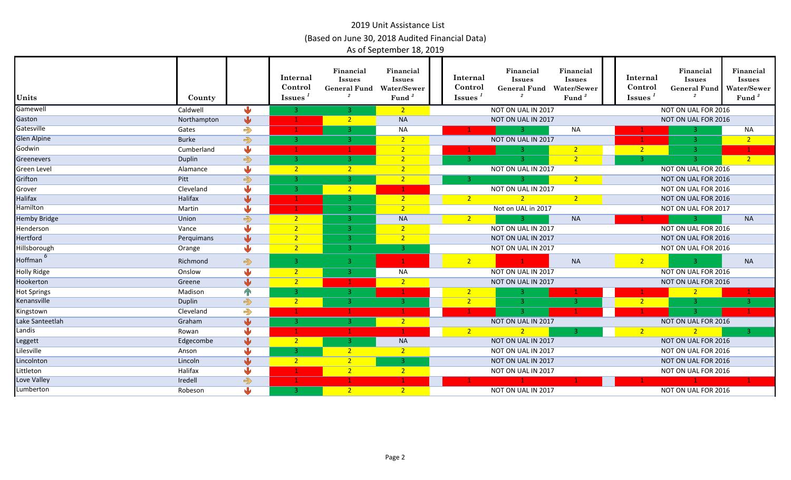| Units               | County       |                         | Internal<br>Control<br>$\overline{\mathbf{I}}$ ssues <sup><math>1</math></sup> | Financial<br><b>Issues</b><br><b>General Fund</b><br>$\overline{2}$ | Financial<br><b>Issues</b><br><b>Water/Sewer</b><br>Fund <sup>3</sup> | Internal<br>Control<br>$\overline{\mathbf{I}}$ ssues <sup><math>1</math></sup> | Financial<br><b>Issues</b><br><b>General Fund</b><br>$\overline{2}$ | Financial<br><b>Issues</b><br>Water/Sewer<br>Fund $3$ | Internal<br>Control<br>$\overline{\text{Issues}}^1$ | Financial<br><b>Issues</b><br><b>General Fund</b><br>$\overline{2}$ | Financial<br><b>Issues</b><br><b>Water/Sewer</b><br>Fund $3$ |
|---------------------|--------------|-------------------------|--------------------------------------------------------------------------------|---------------------------------------------------------------------|-----------------------------------------------------------------------|--------------------------------------------------------------------------------|---------------------------------------------------------------------|-------------------------------------------------------|-----------------------------------------------------|---------------------------------------------------------------------|--------------------------------------------------------------|
| Gamewell            | Caldwell     | ۰IJ                     | 3.                                                                             | 3.                                                                  | 2 <sup>1</sup>                                                        |                                                                                | NOT ON UAL IN 2017                                                  |                                                       |                                                     | NOT ON UAL FOR 2016                                                 |                                                              |
| Gaston              | Northampton  | ₩                       |                                                                                | $2^{\circ}$                                                         | <b>NA</b>                                                             |                                                                                | NOT ON UAL IN 2017                                                  |                                                       |                                                     | NOT ON UAL FOR 2016                                                 |                                                              |
| Gatesville          | Gates        | $\Rightarrow$           |                                                                                |                                                                     | <b>NA</b>                                                             |                                                                                | 3.                                                                  | <b>NA</b>                                             | $\mathbf{1}$                                        | 3                                                                   | <b>NA</b>                                                    |
| <b>Glen Alpine</b>  | <b>Burke</b> | $\Rightarrow$           | в.                                                                             |                                                                     | 2 <sup>1</sup>                                                        |                                                                                | NOT ON UAL IN 2017                                                  |                                                       |                                                     |                                                                     | 2 <sup>2</sup>                                               |
| Godwin              | Cumberland   | N.                      |                                                                                |                                                                     | 2 <sub>1</sub>                                                        |                                                                                |                                                                     | $\overline{2}$                                        | $\sqrt{2}$                                          | 3.                                                                  | $\mathbf{1}$                                                 |
| Greenevers          | Duplin       | $\Rightarrow$           | 3                                                                              | 3.                                                                  | $\overline{2}$                                                        | $\overline{3}$                                                                 | $\overline{3}$                                                      | $\overline{2}$                                        | -3                                                  | $\overline{3}$                                                      | 2 <sup>7</sup>                                               |
| Green Level         | Alamance     | 业                       | $\overline{2}$                                                                 | $2^{\circ}$                                                         | $\overline{2}$                                                        |                                                                                | NOT ON UAL IN 2017                                                  |                                                       |                                                     | NOT ON UAL FOR 2016                                                 |                                                              |
| Grifton             | Pitt         | $\Rightarrow$           | 3                                                                              | 3.                                                                  | 2 <sup>1</sup>                                                        | -3.                                                                            | -3.                                                                 | $\overline{2}$                                        |                                                     | NOT ON UAL FOR 2016                                                 |                                                              |
| Grover              | Cleveland    |                         | 3                                                                              | $\overline{2}$                                                      |                                                                       |                                                                                | NOT ON UAL IN 2017                                                  |                                                       |                                                     | NOT ON UAL FOR 2016                                                 |                                                              |
| <b>Halifax</b>      | Halifax      | $\sqrt{2}$              |                                                                                | в.                                                                  | 2 <sup>2</sup>                                                        | $\overline{2}$                                                                 | $\overline{2}$                                                      | 2 <sup>1</sup>                                        |                                                     | NOT ON UAL FOR 2016                                                 |                                                              |
| <b>Hamilton</b>     | Martin       | sШ                      |                                                                                |                                                                     | $\overline{2}$                                                        |                                                                                | Not on UAL in 2017                                                  |                                                       |                                                     | NOT ON UAL FOR 2017                                                 |                                                              |
| <b>Hemby Bridge</b> | Union        | $\Rightarrow$           | $\overline{2}$                                                                 |                                                                     | <b>NA</b>                                                             | $\overline{2}$                                                                 | 3.                                                                  | <b>NA</b>                                             |                                                     | -3 -                                                                | <b>NA</b>                                                    |
| Henderson           | Vance        | ىلل                     | $\overline{2}$                                                                 | 3.                                                                  | $\overline{2}$                                                        |                                                                                | NOT ON UAL IN 2017                                                  |                                                       |                                                     | NOT ON UAL FOR 2016                                                 |                                                              |
| <b>Hertford</b>     | Perquimans   | ₩                       | $\overline{2}$                                                                 | 3.                                                                  | $\overline{2}$                                                        |                                                                                | NOT ON UAL IN 2017                                                  |                                                       |                                                     | NOT ON UAL FOR 2016                                                 |                                                              |
| Hillsborough        | Orange       | ⋓                       | $\overline{2}$                                                                 | 3.                                                                  | $\mathbf{3}$                                                          |                                                                                | NOT ON UAL IN 2017                                                  |                                                       |                                                     | NOT ON UAL FOR 2016                                                 |                                                              |
| -6<br>Hoffman       | Richmond     | $\Rightarrow$           | -3.                                                                            | -3.                                                                 |                                                                       | $\overline{2}$                                                                 |                                                                     | <b>NA</b>                                             | $\overline{2}$                                      |                                                                     | <b>NA</b>                                                    |
| <b>Holly Ridge</b>  | Onslow       | ۰IJ                     | $\overline{2}$                                                                 | $\overline{3}$                                                      | <b>NA</b>                                                             |                                                                                | NOT ON UAL IN 2017                                                  |                                                       |                                                     | NOT ON UAL FOR 2016                                                 |                                                              |
| Hookerton           | Greene       | $\overline{\mathbf{u}}$ | 2 <sup>1</sup>                                                                 |                                                                     | $\overline{2}$                                                        |                                                                                | NOT ON UAL IN 2017                                                  |                                                       |                                                     | NOT ON UAL FOR 2016                                                 |                                                              |
| <b>Hot Springs</b>  | Madison      | $\mathbf{P}$            | 3                                                                              | 3.                                                                  |                                                                       | $\overline{2}$                                                                 | з.                                                                  |                                                       |                                                     | $\overline{2}$                                                      |                                                              |
| Kenansville         | Duplin       | $\Rightarrow$           | $\overline{2}$                                                                 |                                                                     | 3.                                                                    | $\overline{2}$                                                                 | -3.                                                                 | -3.                                                   | $\overline{2}$                                      | 3                                                                   | 3                                                            |
| Kingstown           | Cleveland    | $\Rightarrow$           |                                                                                |                                                                     |                                                                       |                                                                                |                                                                     |                                                       |                                                     |                                                                     |                                                              |
| Lake Santeetlah     | Graham       | $\sqrt{2}$              | -3.                                                                            | 3.                                                                  | 2 <sup>2</sup>                                                        |                                                                                | NOT ON UAL IN 2017                                                  |                                                       |                                                     | NOT ON UAL FOR 2016                                                 |                                                              |
| Landis              | Rowan        | ۱JL                     |                                                                                |                                                                     |                                                                       | $\overline{2}$                                                                 | $\overline{2}$                                                      | 3.                                                    | $\overline{2}$                                      |                                                                     | $\overline{3}$                                               |
| Leggett             | Edgecombe    | ⋓                       | 2 <sup>2</sup>                                                                 | 3.                                                                  | <b>NA</b>                                                             |                                                                                | NOT ON UAL IN 2017                                                  |                                                       |                                                     | NOT ON UAL FOR 2016                                                 |                                                              |
| Lilesville          | Anson        | طاء                     | 3                                                                              | $\overline{2}$                                                      | 2 <sup>1</sup>                                                        |                                                                                | NOT ON UAL IN 2017                                                  |                                                       |                                                     | NOT ON UAL FOR 2016                                                 |                                                              |
| Lincolnton          | Lincoln      | J                       | $\overline{2}$                                                                 |                                                                     | $\overline{3}$                                                        |                                                                                | NOT ON UAL IN 2017                                                  |                                                       |                                                     | NOT ON UAL FOR 2016                                                 |                                                              |
| Littleton           | Halifax      | ىلل                     |                                                                                | 2 <sup>1</sup>                                                      | $2 -$                                                                 |                                                                                | NOT ON UAL IN 2017                                                  |                                                       |                                                     | NOT ON UAL FOR 2016                                                 |                                                              |
| Love Valley         | Iredell      | $\Rightarrow$           |                                                                                |                                                                     |                                                                       |                                                                                |                                                                     |                                                       |                                                     |                                                                     |                                                              |
| Lumberton           | Robeson      | ⋓                       | -3.                                                                            | $\overline{2}$                                                      | 2 <sup>1</sup>                                                        |                                                                                | NOT ON UAL IN 2017                                                  |                                                       |                                                     | NOT ON UAL FOR 2016                                                 |                                                              |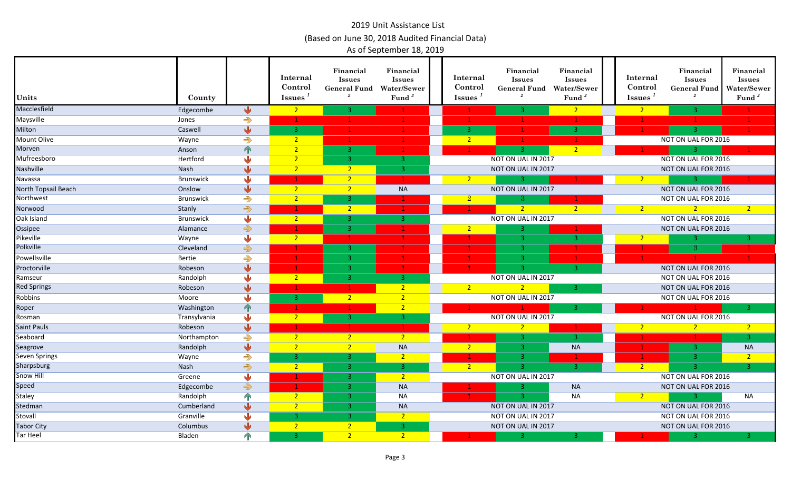| Units                | County       |                         | Internal<br>Control<br><b>Issues</b> | Financial<br><b>Issues</b><br><b>General Fund</b><br>$\it 2$ | Financial<br><b>Issues</b><br><b>Water/Sewer</b><br>Fund <sup>3</sup> | Internal<br>Control<br>Issues <sup>1</sup> | Financial<br><b>Issues</b><br><b>General Fund</b><br>$\overline{2}$ | Financial<br><b>Issues</b><br>Water/Sewer<br>Fund <sup>3</sup> | Internal<br>Control<br><b>Issues</b> | Financial<br><b>Issues</b><br><b>General Fund</b><br>$\overline{2}$ | Financial<br><b>Issues</b><br>Water/Sewer<br>Fund <sup>3</sup> |
|----------------------|--------------|-------------------------|--------------------------------------|--------------------------------------------------------------|-----------------------------------------------------------------------|--------------------------------------------|---------------------------------------------------------------------|----------------------------------------------------------------|--------------------------------------|---------------------------------------------------------------------|----------------------------------------------------------------|
| Macclesfield         | Edgecombe    | ₩                       | $\overline{2}$                       |                                                              |                                                                       |                                            |                                                                     | 2 <sup>2</sup>                                                 | $\sqrt{2}$                           |                                                                     |                                                                |
| Maysville            | Jones        | $\Rightarrow$           |                                      |                                                              |                                                                       |                                            |                                                                     | 1.                                                             |                                      |                                                                     |                                                                |
| Milton               | Caswell      | $\overline{\mathbf{u}}$ | з.                                   |                                                              |                                                                       | 3                                          |                                                                     | 3                                                              |                                      |                                                                     |                                                                |
| <b>Mount Olive</b>   | Wayne        | $\Rightarrow$           | $\overline{2}$                       |                                                              |                                                                       | $\overline{2}$                             |                                                                     |                                                                |                                      | NOT ON UAL FOR 2016                                                 |                                                                |
| Morven               | Anson        | n                       | $\overline{2}$                       | 3.                                                           |                                                                       |                                            |                                                                     | 2 <sup>2</sup>                                                 |                                      | 3                                                                   |                                                                |
| Mufreesboro          | Hertford     |                         | $\overline{2}$                       | 3.                                                           | 3                                                                     |                                            | NOT ON UAL IN 2017                                                  |                                                                |                                      | NOT ON UAL FOR 2016                                                 |                                                                |
| Nashville            | <b>Nash</b>  | JL                      | $\overline{2}$                       | 2 <sup>1</sup>                                               | -3.                                                                   |                                            | NOT ON UAL IN 2017                                                  |                                                                |                                      | NOT ON UAL FOR 2016                                                 |                                                                |
| Navassa              | Brunswick    |                         |                                      | $\mathcal{D}$                                                |                                                                       | $\overline{2}$                             | 3.                                                                  |                                                                | $\overline{2}$                       | 3.                                                                  |                                                                |
| North Topsail Beach  | Onslow       | $\mathbf{L}$            | 2 <sup>2</sup>                       | 2 <sup>1</sup>                                               | <b>NA</b>                                                             |                                            | NOT ON UAL IN 2017                                                  |                                                                |                                      | NOT ON UAL FOR 2016                                                 |                                                                |
| Northwest            | Brunswick    | $\Rightarrow$           | $\overline{2}$                       | 3.                                                           |                                                                       | $\overline{2}$                             | З.                                                                  |                                                                |                                      | NOT ON UAL FOR 2016                                                 |                                                                |
| Norwood              | Stanly       | $\Rightarrow$           |                                      | 2 <sup>2</sup>                                               |                                                                       |                                            | 2 <sup>2</sup>                                                      | 2 <sup>2</sup>                                                 | $\overline{2}$                       | 2 <sup>2</sup>                                                      | 2 <sup>1</sup>                                                 |
| Oak Island           | Brunswick    | ۰IJ                     | 2 <sup>2</sup>                       | 3.                                                           | $\overline{3}$                                                        |                                            | NOT ON UAL IN 2017                                                  |                                                                |                                      | NOT ON UAL FOR 2016                                                 |                                                                |
| Ossipee              | Alamance     | $\Rightarrow$           |                                      |                                                              |                                                                       | $\overline{2}$                             |                                                                     |                                                                |                                      | NOT ON UAL FOR 2016                                                 |                                                                |
| Pikeville            | Wayne        | J                       | $2 -$                                |                                                              |                                                                       |                                            | 3                                                                   |                                                                | $\overline{2}$                       | 3.                                                                  | 3                                                              |
| Polkville            | Cleveland    | $\Rightarrow$           |                                      | -3.                                                          |                                                                       |                                            | -3.                                                                 |                                                                |                                      | 3.                                                                  |                                                                |
| Powellsville         | Bertie       | $\Rightarrow$           |                                      | 3.                                                           |                                                                       |                                            | -3.                                                                 |                                                                |                                      |                                                                     |                                                                |
| Proctorville         | Robeson      | $\overline{\mathbf{u}}$ |                                      | -3.                                                          |                                                                       |                                            | ್ತಾ                                                                 | $\overline{3}$                                                 |                                      | NOT ON UAL FOR 2016                                                 |                                                                |
| Ramseur              | Randolph     | ⋓                       | $\overline{2}$                       | -3.                                                          | 3                                                                     |                                            | NOT ON UAL IN 2017                                                  |                                                                |                                      | NOT ON UAL FOR 2016                                                 |                                                                |
| <b>Red Springs</b>   | Robeson      | $\sqrt{2}$              |                                      |                                                              | 2 <sup>2</sup>                                                        | $\overline{2}$                             | $\overline{2}$                                                      | 3.                                                             |                                      | NOT ON UAL FOR 2016                                                 |                                                                |
| Robbins              | Moore        | J                       | -3                                   | $2^{\circ}$                                                  | $\overline{2}$                                                        |                                            | NOT ON UAL IN 2017                                                  |                                                                |                                      | NOT ON UAL FOR 2016                                                 |                                                                |
| Roper                | Washington   | $\mathbf{T}$            |                                      |                                                              | $\overline{2}$                                                        |                                            |                                                                     | ₹                                                              |                                      | $\mathbf{1}$                                                        | $\overline{3}$                                                 |
| Rosman               | Transylvania | مالی                    | $\overline{2}$                       | 3.                                                           | ್ತಾ                                                                   |                                            | NOT ON UAL IN 2017                                                  |                                                                |                                      | NOT ON UAL FOR 2016                                                 |                                                                |
| <b>Saint Pauls</b>   | Robeson      | ۱J                      |                                      |                                                              |                                                                       | $\overline{2}$                             | $\overline{2}$                                                      |                                                                | $\overline{2}$                       | 2 <sup>2</sup>                                                      | 2 <sup>2</sup>                                                 |
| Seaboard             | Northampton  | $\Rightarrow$           | $\overline{2}$                       | 2 <sup>1</sup>                                               | 2 <sup>1</sup>                                                        |                                            |                                                                     | $\overline{3}$                                                 |                                      |                                                                     | $\overline{3}$                                                 |
| Seagrove             | Randolph     | $\sqrt{2}$              | $\overline{2}$                       |                                                              | <b>NA</b>                                                             | $\sqrt{2}$                                 |                                                                     | <b>NA</b>                                                      |                                      | 3.                                                                  | <b>NA</b>                                                      |
| <b>Seven Springs</b> | Wayne        | $\Rightarrow$           | з.                                   | з.                                                           | 2 <sup>2</sup>                                                        |                                            |                                                                     |                                                                |                                      | 3                                                                   | 2 <sup>7</sup>                                                 |
| Sharpsburg           | <b>Nash</b>  | $\Rightarrow$           | $\overline{2}$                       | -3.                                                          | $\overline{3}$                                                        | 2 <sup>2</sup>                             |                                                                     | -3.                                                            | 2 <sup>2</sup>                       | 3                                                                   | $\overline{3}$                                                 |
| <b>Snow Hill</b>     | Greene       | ىل                      |                                      | 3.                                                           | $\overline{2}$                                                        |                                            | NOT ON UAL IN 2017                                                  |                                                                |                                      | NOT ON UAL FOR 2016                                                 |                                                                |
| <b>Speed</b>         | Edgecombe    | $\Rightarrow$           |                                      | -3.                                                          | <b>NA</b>                                                             |                                            | ್ತಾ                                                                 | <b>NA</b>                                                      |                                      | NOT ON UAL FOR 2016                                                 |                                                                |
| <b>Staley</b>        | Randolph     | $\mathbb{P}$            | 2 <sup>2</sup>                       | 3.                                                           | <b>NA</b>                                                             |                                            | 3.                                                                  | $N_A$                                                          | $\sqrt{2}$                           | $\mathbf{3}$                                                        | <b>NA</b>                                                      |
| Stedman              | Cumberland   | J                       | $\overline{2}$                       | -3.                                                          | <b>NA</b>                                                             |                                            | NOT ON UAL IN 2017                                                  |                                                                |                                      | NOT ON UAL FOR 2016                                                 |                                                                |
| Stovall              | Granville    |                         | з.                                   | 3.                                                           | $\overline{2}$                                                        |                                            | NOT ON UAL IN 2017                                                  |                                                                |                                      | NOT ON UAL FOR 2016                                                 |                                                                |
| <b>Tabor City</b>    | Columbus     |                         | $\overline{2}$                       | 2 <sup>1</sup>                                               | 3                                                                     |                                            | NOT ON UAL IN 2017                                                  |                                                                |                                      | NOT ON UAL FOR 2016                                                 |                                                                |
| <b>Tar Heel</b>      | Bladen       | $\mathbf{T}$            | -3                                   | $\overline{2}$                                               | 2 <sup>1</sup>                                                        |                                            | 3.                                                                  | R.                                                             |                                      | 3 <sup>1</sup>                                                      | $\overline{3}$                                                 |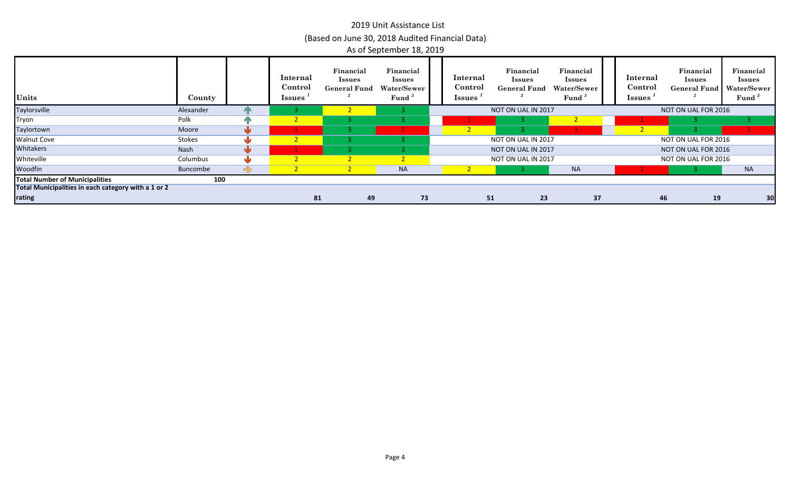| Units                                               | County        |                   | Internal<br>Control<br><b>Issues</b> | Financial<br><b>Issues</b><br><b>General Fund</b> | Financial<br><b>Issues</b><br>Water/Sewer<br>Fund | Internal<br>Control<br><b>Issues</b> | Financial<br><b>Issues</b><br><b>General Fund</b> | Financial<br><b>Issues</b><br>Water/Sewer<br>Fund |    | Internal<br>Control<br><b>Issues</b> | Financial<br><b>Issues</b><br>General Fund   Water/Sewer | Financial<br><b>Issues</b><br>Fund <sup>3</sup> |
|-----------------------------------------------------|---------------|-------------------|--------------------------------------|---------------------------------------------------|---------------------------------------------------|--------------------------------------|---------------------------------------------------|---------------------------------------------------|----|--------------------------------------|----------------------------------------------------------|-------------------------------------------------|
| Taylorsville                                        | Alexander     |                   |                                      |                                                   |                                                   |                                      | NOT ON UAL IN 2017                                |                                                   |    |                                      | NOT ON UAL FOR 2016                                      |                                                 |
| Tryon                                               | Polk          |                   |                                      |                                                   |                                                   |                                      |                                                   |                                                   |    |                                      |                                                          |                                                 |
| Taylortown                                          | Moore         |                   |                                      |                                                   |                                                   |                                      |                                                   |                                                   |    |                                      |                                                          |                                                 |
| <b>Walnut Cove</b>                                  | <b>Stokes</b> |                   |                                      |                                                   |                                                   |                                      | NOT ON UAL IN 2017                                |                                                   |    |                                      | NOT ON UAL FOR 2016                                      |                                                 |
| <b>Whitakers</b>                                    | Nash          |                   |                                      |                                                   |                                                   |                                      | NOT ON UAL IN 2017                                |                                                   |    |                                      | NOT ON UAL FOR 2016                                      |                                                 |
| Whiteville                                          | Columbus      |                   |                                      |                                                   |                                                   |                                      | NOT ON UAL IN 2017                                |                                                   |    |                                      | NOT ON UAL FOR 2016                                      |                                                 |
| Woodfin                                             | Buncombe      | $\Leftrightarrow$ |                                      |                                                   | <b>NA</b>                                         |                                      |                                                   | <b>NA</b>                                         |    |                                      |                                                          | <b>NA</b>                                       |
| <b>Total Number of Municipalities</b>               | 100           |                   |                                      |                                                   |                                                   |                                      |                                                   |                                                   |    |                                      |                                                          |                                                 |
| Total Municipalities in each category with a 1 or 2 |               |                   |                                      |                                                   |                                                   |                                      |                                                   |                                                   |    |                                      |                                                          |                                                 |
| rating                                              |               |                   | 81                                   | 49                                                | 73                                                |                                      | 51<br>23                                          |                                                   | 37 |                                      | 46<br>19                                                 | 30                                              |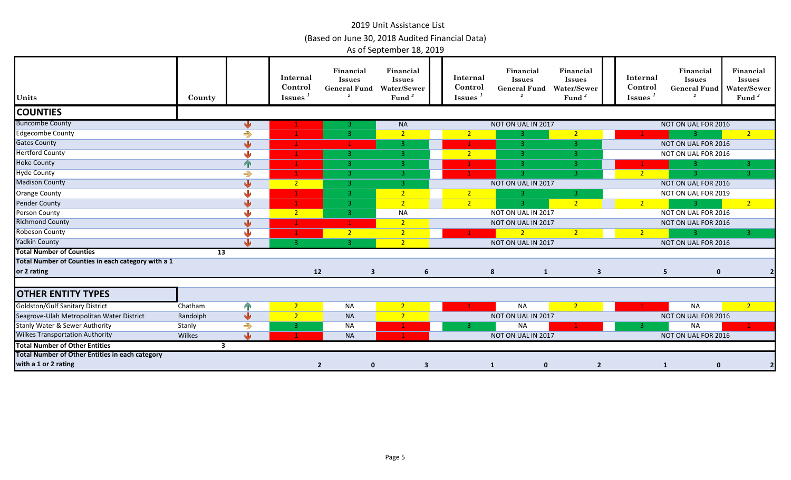| Units                                                  | County   |                         | Internal<br>Control<br>Issues <sup>1</sup> | Financial<br><b>Issues</b><br><b>General Fund</b> | Financial<br><b>Issues</b><br>Water/Sewer<br>Fund <sup>3</sup> | Internal<br>Control<br><b>Issues</b> | Financial<br><b>Issues</b><br><b>General Fund</b> | Financial<br><b>Issues</b><br>Water/Sewer<br>Fund <sup>3</sup> | Internal<br>Control<br><b>Issues</b> | Financial<br><b>Issues</b><br><b>General Fund</b> | Financial<br><b>Issues</b><br>Water/Sewer<br>Fund <sup>3</sup> |
|--------------------------------------------------------|----------|-------------------------|--------------------------------------------|---------------------------------------------------|----------------------------------------------------------------|--------------------------------------|---------------------------------------------------|----------------------------------------------------------------|--------------------------------------|---------------------------------------------------|----------------------------------------------------------------|
| <b>COUNTIES</b>                                        |          |                         |                                            |                                                   |                                                                |                                      |                                                   |                                                                |                                      |                                                   |                                                                |
| <b>Buncombe County</b>                                 |          | ₩                       |                                            | 3.                                                | NA                                                             |                                      | NOT ON UAL IN 2017                                |                                                                |                                      | NOT ON UAL FOR 2016                               |                                                                |
| <b>Edgecombe County</b>                                |          | $\Rightarrow$           |                                            | $\mathbf{3}$                                      | $\overline{2}$                                                 | $\overline{2}$                       |                                                   | $\overline{2}$                                                 |                                      |                                                   | 2 <sup>1</sup>                                                 |
| <b>Gates County</b>                                    |          | ⋓                       |                                            |                                                   | $\overline{3}$                                                 | $\mathbf 1$                          | 3                                                 | 3                                                              |                                      | NOT ON UAL FOR 2016                               |                                                                |
| <b>Hertford County</b>                                 |          | JL                      |                                            | 3.                                                | -3.                                                            | $2 -$                                | R.                                                | 3.                                                             |                                      | NOT ON UAL FOR 2016                               |                                                                |
| <b>Hoke County</b>                                     |          | 个                       |                                            | -3.                                               | -3.                                                            |                                      | 3                                                 | 3                                                              |                                      | 3.                                                | 3                                                              |
| <b>Hyde County</b>                                     |          | $\Rightarrow$           |                                            | $\overline{3}$                                    | 3                                                              | 1                                    | -3.                                               | 3                                                              | $\overline{2}$                       | $\mathbf{R}$                                      | $\mathbf{3}$                                                   |
| <b>Madison County</b>                                  |          | JL                      | $2 -$                                      | -3.                                               | -3.                                                            |                                      | NOT ON UAL IN 2017                                |                                                                |                                      | NOT ON UAL FOR 2016                               |                                                                |
| <b>Orange County</b>                                   |          |                         |                                            | $\overline{3}$                                    | 2 <sup>1</sup>                                                 | 2 <sup>7</sup>                       | 3.                                                | 3                                                              |                                      | NOT ON UAL FOR 2019                               |                                                                |
| <b>Pender County</b>                                   |          |                         |                                            | $\mathbf{B}$                                      | 2 <sup>2</sup>                                                 | $\overline{2}$                       | 3.                                                | 2 <sup>2</sup>                                                 | $\overline{2}$                       | 3.                                                | 2 <sup>2</sup>                                                 |
| Person County                                          |          | ۰L                      | $\overline{2}$                             | $\overline{3}$                                    | NA                                                             |                                      | NOT ON UAL IN 2017                                |                                                                |                                      | NOT ON UAL FOR 2016                               |                                                                |
| <b>Richmond County</b>                                 |          |                         |                                            |                                                   | $\overline{2}$                                                 |                                      | NOT ON UAL IN 2017                                |                                                                |                                      | NOT ON UAL FOR 2016                               |                                                                |
| <b>Robeson County</b>                                  |          |                         |                                            | $\overline{2}$                                    | $\overline{2}$                                                 |                                      | $\overline{2}$                                    | $\overline{2}$                                                 | $\sqrt{2}$                           | 3.                                                | 3.                                                             |
| <b>Yadkin County</b>                                   |          |                         | -3.                                        | -3 I                                              | 2 <sup>1</sup>                                                 |                                      | NOT ON UAL IN 2017                                |                                                                |                                      | NOT ON UAL FOR 2016                               |                                                                |
| <b>Total Number of Counties</b>                        |          | 13                      |                                            |                                                   |                                                                |                                      |                                                   |                                                                |                                      |                                                   |                                                                |
| Total Number of Counties in each category with a 1     |          |                         |                                            |                                                   |                                                                |                                      |                                                   |                                                                |                                      |                                                   |                                                                |
| or 2 rating                                            |          |                         | 12                                         | $\overline{\mathbf{3}}$                           | 6                                                              |                                      | 8<br>$\mathbf{1}$                                 | $\overline{\mathbf{3}}$                                        |                                      | $\mathbf 0$<br>5                                  |                                                                |
|                                                        |          |                         |                                            |                                                   |                                                                |                                      |                                                   |                                                                |                                      |                                                   |                                                                |
| <b>OTHER ENTITY TYPES</b>                              |          |                         |                                            |                                                   |                                                                |                                      |                                                   |                                                                |                                      |                                                   |                                                                |
| <b>Goldston/Gulf Sanitary District</b>                 | Chatham  | $\mathbf{P}$            | $\overline{2}$                             | <b>NA</b>                                         | 2 <sup>1</sup>                                                 | $\mathbf{1}$                         | <b>NA</b>                                         | $\sqrt{2}$                                                     | $1 -$                                | <b>NA</b>                                         | $\sqrt{2}$                                                     |
| Seagrove-Ulah Metropolitan Water District              | Randolph | $\overline{\mathbf{v}}$ | $\overline{2}$                             | <b>NA</b>                                         | $\overline{2}$                                                 |                                      | NOT ON UAL IN 2017                                |                                                                |                                      | NOT ON UAL FOR 2016                               |                                                                |
| <b>Stanly Water &amp; Sewer Authority</b>              | Stanly   | $\Rightarrow$           | 3                                          | <b>NA</b>                                         |                                                                | -3                                   | <b>NA</b>                                         |                                                                | -3.                                  | <b>NA</b>                                         |                                                                |
| <b>Wilkes Transportation Authority</b>                 | Wilkes   | sila.                   | -1.                                        | <b>NA</b>                                         |                                                                |                                      | NOT ON UAL IN 2017                                |                                                                |                                      | NOT ON UAL FOR 2016                               |                                                                |
| <b>Total Number of Other Entities</b>                  |          | $\overline{\mathbf{3}}$ |                                            |                                                   |                                                                |                                      |                                                   |                                                                |                                      |                                                   |                                                                |
| <b>Total Number of Other Entities in each category</b> |          |                         |                                            |                                                   |                                                                |                                      |                                                   |                                                                |                                      |                                                   |                                                                |
| with a 1 or 2 rating                                   |          |                         |                                            | $\overline{2}$<br>$\mathbf 0$                     | 3                                                              |                                      | $\mathbf{0}$<br>1                                 | $\overline{2}$                                                 |                                      | $\mathbf 0$<br>1                                  |                                                                |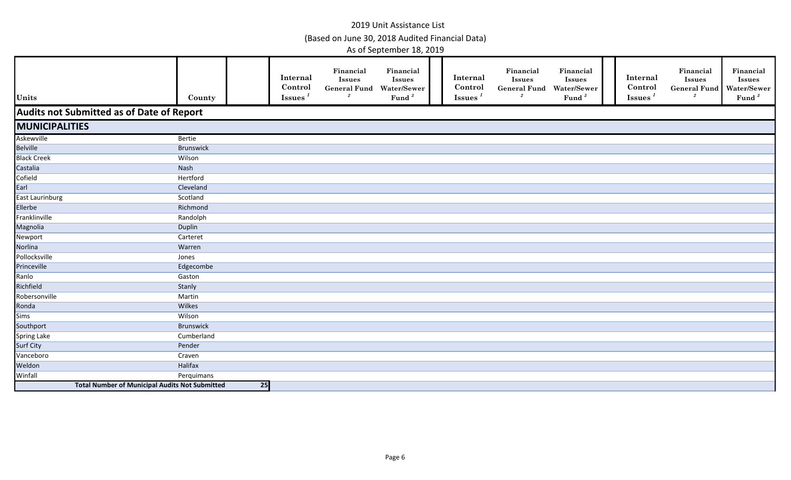| Units                                                 | County           |                 | Internal<br>Control<br><b>Issues</b> | Financial<br><b>Issues</b><br><b>General Fund Water/Sewer</b><br>$\overline{2}$ | Financial<br><b>Issues</b><br>Fund $3$ | Internal<br>Control<br>Issues $1$ | Financial<br><b>Issues</b><br><b>General Fund</b><br>$\overline{2}$ | Financial<br>Issues<br>Water/Sewer<br>Fund <sup>3</sup> | Internal<br>Control<br>$\overline{\mathbf{I}}$ ssues <sup><math>1</math></sup> | Financial<br><b>Issues</b><br>General Fund Water/Sewer<br>$\overline{2}$ | Financial<br><b>Issues</b><br>Fund <sup>3</sup> |
|-------------------------------------------------------|------------------|-----------------|--------------------------------------|---------------------------------------------------------------------------------|----------------------------------------|-----------------------------------|---------------------------------------------------------------------|---------------------------------------------------------|--------------------------------------------------------------------------------|--------------------------------------------------------------------------|-------------------------------------------------|
| Audits not Submitted as of Date of Report             |                  |                 |                                      |                                                                                 |                                        |                                   |                                                                     |                                                         |                                                                                |                                                                          |                                                 |
| <b>MUNICIPALITIES</b>                                 |                  |                 |                                      |                                                                                 |                                        |                                   |                                                                     |                                                         |                                                                                |                                                                          |                                                 |
| Askewville                                            | Bertie           |                 |                                      |                                                                                 |                                        |                                   |                                                                     |                                                         |                                                                                |                                                                          |                                                 |
| <b>Belville</b>                                       | Brunswick        |                 |                                      |                                                                                 |                                        |                                   |                                                                     |                                                         |                                                                                |                                                                          |                                                 |
| <b>Black Creek</b>                                    | Wilson           |                 |                                      |                                                                                 |                                        |                                   |                                                                     |                                                         |                                                                                |                                                                          |                                                 |
| Castalia                                              | Nash             |                 |                                      |                                                                                 |                                        |                                   |                                                                     |                                                         |                                                                                |                                                                          |                                                 |
| Cofield                                               | Hertford         |                 |                                      |                                                                                 |                                        |                                   |                                                                     |                                                         |                                                                                |                                                                          |                                                 |
| Earl                                                  | Cleveland        |                 |                                      |                                                                                 |                                        |                                   |                                                                     |                                                         |                                                                                |                                                                          |                                                 |
| East Laurinburg                                       | Scotland         |                 |                                      |                                                                                 |                                        |                                   |                                                                     |                                                         |                                                                                |                                                                          |                                                 |
| Ellerbe                                               | Richmond         |                 |                                      |                                                                                 |                                        |                                   |                                                                     |                                                         |                                                                                |                                                                          |                                                 |
| Franklinville                                         | Randolph         |                 |                                      |                                                                                 |                                        |                                   |                                                                     |                                                         |                                                                                |                                                                          |                                                 |
| Magnolia                                              | Duplin           |                 |                                      |                                                                                 |                                        |                                   |                                                                     |                                                         |                                                                                |                                                                          |                                                 |
| Newport                                               | Carteret         |                 |                                      |                                                                                 |                                        |                                   |                                                                     |                                                         |                                                                                |                                                                          |                                                 |
| Norlina                                               | Warren           |                 |                                      |                                                                                 |                                        |                                   |                                                                     |                                                         |                                                                                |                                                                          |                                                 |
| Pollocksville                                         | Jones            |                 |                                      |                                                                                 |                                        |                                   |                                                                     |                                                         |                                                                                |                                                                          |                                                 |
| Princeville                                           | Edgecombe        |                 |                                      |                                                                                 |                                        |                                   |                                                                     |                                                         |                                                                                |                                                                          |                                                 |
| Ranlo                                                 | Gaston           |                 |                                      |                                                                                 |                                        |                                   |                                                                     |                                                         |                                                                                |                                                                          |                                                 |
| Richfield                                             | Stanly           |                 |                                      |                                                                                 |                                        |                                   |                                                                     |                                                         |                                                                                |                                                                          |                                                 |
| Robersonville                                         | Martin           |                 |                                      |                                                                                 |                                        |                                   |                                                                     |                                                         |                                                                                |                                                                          |                                                 |
| Ronda                                                 | Wilkes           |                 |                                      |                                                                                 |                                        |                                   |                                                                     |                                                         |                                                                                |                                                                          |                                                 |
| Sims                                                  | Wilson           |                 |                                      |                                                                                 |                                        |                                   |                                                                     |                                                         |                                                                                |                                                                          |                                                 |
| Southport                                             | <b>Brunswick</b> |                 |                                      |                                                                                 |                                        |                                   |                                                                     |                                                         |                                                                                |                                                                          |                                                 |
| <b>Spring Lake</b>                                    | Cumberland       |                 |                                      |                                                                                 |                                        |                                   |                                                                     |                                                         |                                                                                |                                                                          |                                                 |
| <b>Surf City</b>                                      | Pender           |                 |                                      |                                                                                 |                                        |                                   |                                                                     |                                                         |                                                                                |                                                                          |                                                 |
| Vanceboro                                             | Craven           |                 |                                      |                                                                                 |                                        |                                   |                                                                     |                                                         |                                                                                |                                                                          |                                                 |
| Weldon                                                | Halifax          |                 |                                      |                                                                                 |                                        |                                   |                                                                     |                                                         |                                                                                |                                                                          |                                                 |
| Winfall                                               | Perquimans       |                 |                                      |                                                                                 |                                        |                                   |                                                                     |                                                         |                                                                                |                                                                          |                                                 |
| <b>Total Number of Municipal Audits Not Submitted</b> |                  | $\overline{25}$ |                                      |                                                                                 |                                        |                                   |                                                                     |                                                         |                                                                                |                                                                          |                                                 |
|                                                       |                  |                 |                                      |                                                                                 |                                        |                                   |                                                                     |                                                         |                                                                                |                                                                          |                                                 |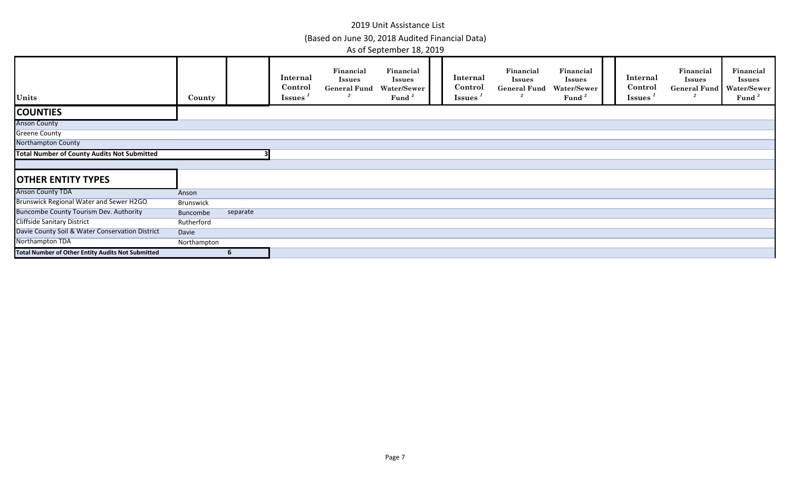| Units                                              | County      |          | Internal<br>Control<br><b>Issues</b> | Financial<br><b>Issues</b><br><b>General Fund</b> | Financial<br><b>Issues</b><br>Water/Sewer<br>Fund <sup>3</sup> | Internal<br>Control<br><b>Issues</b> | Financial<br><b>Issues</b><br><b>General Fund</b> | Financial<br><b>Issues</b><br>Water/Sewer<br>Fund | Internal<br>Control<br><b>Issues</b> | Financial<br><b>Issues</b><br>General Fund | Financial<br><b>Issues</b><br>Water/Sewer<br>Fund <sup>3</sup> |
|----------------------------------------------------|-------------|----------|--------------------------------------|---------------------------------------------------|----------------------------------------------------------------|--------------------------------------|---------------------------------------------------|---------------------------------------------------|--------------------------------------|--------------------------------------------|----------------------------------------------------------------|
| <b>COUNTIES</b>                                    |             |          |                                      |                                                   |                                                                |                                      |                                                   |                                                   |                                      |                                            |                                                                |
| <b>Anson County</b>                                |             |          |                                      |                                                   |                                                                |                                      |                                                   |                                                   |                                      |                                            |                                                                |
| <b>Greene County</b>                               |             |          |                                      |                                                   |                                                                |                                      |                                                   |                                                   |                                      |                                            |                                                                |
| Northampton County                                 |             |          |                                      |                                                   |                                                                |                                      |                                                   |                                                   |                                      |                                            |                                                                |
| <b>Total Number of County Audits Not Submitted</b> |             |          |                                      |                                                   |                                                                |                                      |                                                   |                                                   |                                      |                                            |                                                                |
|                                                    |             |          |                                      |                                                   |                                                                |                                      |                                                   |                                                   |                                      |                                            |                                                                |
| <b>OTHER ENTITY TYPES</b>                          |             |          |                                      |                                                   |                                                                |                                      |                                                   |                                                   |                                      |                                            |                                                                |
| <b>Anson County TDA</b>                            | Anson       |          |                                      |                                                   |                                                                |                                      |                                                   |                                                   |                                      |                                            |                                                                |
| Brunswick Regional Water and Sewer H2GO            | Brunswick   |          |                                      |                                                   |                                                                |                                      |                                                   |                                                   |                                      |                                            |                                                                |
| <b>Buncombe County Tourism Dev. Authority</b>      | Buncombe    | separate |                                      |                                                   |                                                                |                                      |                                                   |                                                   |                                      |                                            |                                                                |
| <b>Cliffside Sanitary District</b>                 | Rutherford  |          |                                      |                                                   |                                                                |                                      |                                                   |                                                   |                                      |                                            |                                                                |
| Davie County Soil & Water Conservation District    | Davie       |          |                                      |                                                   |                                                                |                                      |                                                   |                                                   |                                      |                                            |                                                                |
| Northampton TDA                                    | Northampton |          |                                      |                                                   |                                                                |                                      |                                                   |                                                   |                                      |                                            |                                                                |
| Total Number of Other Entity Audits Not Submitted  |             |          |                                      |                                                   |                                                                |                                      |                                                   |                                                   |                                      |                                            |                                                                |